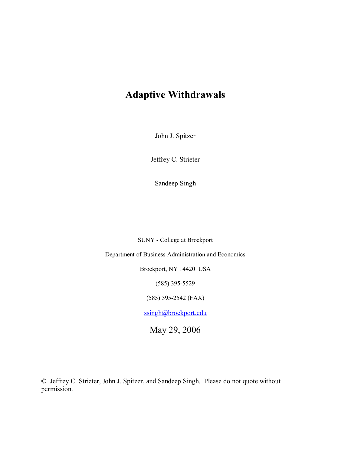# **Adaptive Withdrawals**

John J. Spitzer

Jeffrey C. Strieter

Sandeep Singh

SUNY - College at Brockport

Department of Business Administration and Economics

Brockport, NY 14420 USA

(585) 395-5529

(585) 395-2542 (FAX)

ssingh@brockport.edu

May 29, 2006

© Jeffrey C. Strieter, John J. Spitzer, and Sandeep Singh. Please do not quote without permission.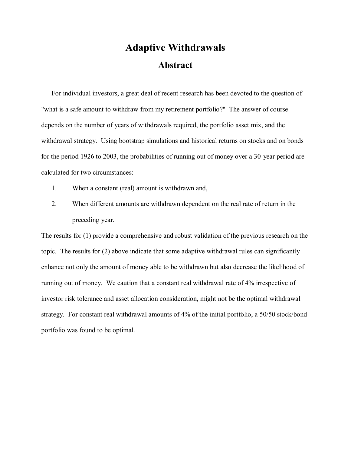# **Adaptive Withdrawals Abstract**

For individual investors, a great deal of recent research has been devoted to the question of "what is a safe amount to withdraw from my retirement portfolio?" The answer of course depends on the number of years of withdrawals required, the portfolio asset mix, and the withdrawal strategy. Using bootstrap simulations and historical returns on stocks and on bonds for the period 1926 to 2003, the probabilities of running out of money over a 30-year period are calculated for two circumstances:

- 1. When a constant (real) amount is withdrawn and,
- 2. When different amounts are withdrawn dependent on the real rate of return in the preceding year.

The results for (1) provide a comprehensive and robust validation of the previous research on the topic. The results for (2) above indicate that some adaptive withdrawal rules can significantly enhance not only the amount of money able to be withdrawn but also decrease the likelihood of running out of money. We caution that a constant real withdrawal rate of 4% irrespective of investor risk tolerance and asset allocation consideration, might not be the optimal withdrawal strategy. For constant real withdrawal amounts of 4% of the initial portfolio, a 50/50 stock/bond portfolio was found to be optimal.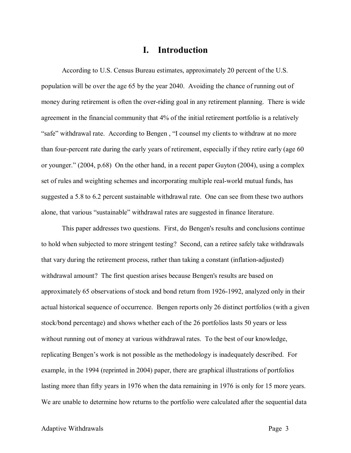### **I. Introduction**

According to U.S. Census Bureau estimates, approximately 20 percent of the U.S. population will be over the age 65 by the year 2040. Avoiding the chance of running out of money during retirement is often the over-riding goal in any retirement planning. There is wide agreement in the financial community that 4% of the initial retirement portfolio is a relatively "safe" withdrawal rate. According to Bengen , "I counsel my clients to withdraw at no more than four-percent rate during the early years of retirement, especially if they retire early (age 60 or younger." (2004, p.68) On the other hand, in a recent paper Guyton (2004), using a complex set of rules and weighting schemes and incorporating multiple real-world mutual funds, has suggested a 5.8 to 6.2 percent sustainable withdrawal rate. One can see from these two authors alone, that various "sustainable" withdrawal rates are suggested in finance literature.

This paper addresses two questions. First, do Bengen's results and conclusions continue to hold when subjected to more stringent testing? Second, can a retiree safely take withdrawals that vary during the retirement process, rather than taking a constant (inflation-adjusted) withdrawal amount? The first question arises because Bengen's results are based on approximately 65 observations of stock and bond return from 1926-1992, analyzed only in their actual historical sequence of occurrence. Bengen reports only 26 distinct portfolios (with a given stock/bond percentage) and shows whether each of the 26 portfolios lasts 50 years or less without running out of money at various withdrawal rates. To the best of our knowledge, replicating Bengen's work is not possible as the methodology is inadequately described. For example, in the 1994 (reprinted in 2004) paper, there are graphical illustrations of portfolios lasting more than fifty years in 1976 when the data remaining in 1976 is only for 15 more years. We are unable to determine how returns to the portfolio were calculated after the sequential data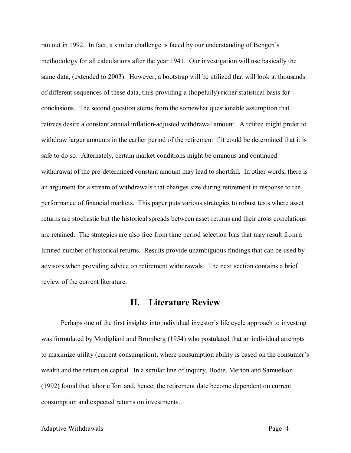ran out in 1992. In fact, a similar challenge is faced by our understanding of Bengen's methodology for all calculations after the year 1941. Our investigation will use basically the same data, (extended to 2003). However, a bootstrap will be utilized that will look at thousands of different sequences of these data, thus providing a (hopefully) richer statistical basis for conclusions. The second question stems from the somewhat questionable assumption that retirees desire a constant annual inflation-adjusted withdrawal amount. A retiree might prefer to withdraw larger amounts in the earlier period of the retirement if it could be determined that it is safe to do so. Alternately, certain market conditions might be ominous and continued withdrawal of the pre-determined constant amount may lead to shortfall. In other words, there is an argument for a stream of withdrawals that changes size during retirement in response to the performance of financial markets. This paper puts various strategies to robust tests where asset returns are stochastic but the historical spreads between asset returns and their cross correlations are retained. The strategies are also free from time period selection bias that may result from a limited number of historical returns. Results provide unambiguous findings that can be used by advisors when providing advice on retirement withdrawals. The next section contains a brief review of the current literature.

### **II. Literature Review**

Perhaps one of the first insights into individual investor's life cycle approach to investing was formulated by Modigliani and Brumberg (1954) who postulated that an individual attempts to maximize utility (current consumption), where consumption ability is based on the consumer's wealth and the return on capital. In a similar line of inquiry, Bodie, Merton and Samuelson (1992) found that labor effort and, hence, the retirement date become dependent on current consumption and expected returns on investments.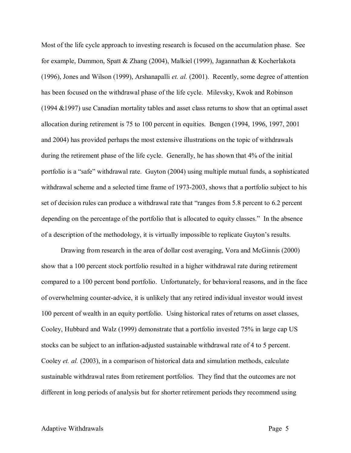Most of the life cycle approach to investing research is focused on the accumulation phase. See for example, Dammon, Spatt & Zhang (2004), Malkiel (1999), Jagannathan & Kocherlakota (1996), Jones and Wilson (1999), Arshanapalli *et. al.* (2001). Recently, some degree of attention has been focused on the withdrawal phase of the life cycle. Milevsky, Kwok and Robinson (1994 &1997) use Canadian mortality tables and asset class returns to show that an optimal asset allocation during retirement is 75 to 100 percent in equities. Bengen (1994, 1996, 1997, 2001 and 2004) has provided perhaps the most extensive illustrations on the topic of withdrawals during the retirement phase of the life cycle. Generally, he has shown that 4% of the initial portfolio is a "safe" withdrawal rate. Guyton (2004) using multiple mutual funds, a sophisticated withdrawal scheme and a selected time frame of 1973-2003, shows that a portfolio subject to his set of decision rules can produce a withdrawal rate that "ranges from 5.8 percent to 6.2 percent depending on the percentage of the portfolio that is allocated to equity classes." In the absence of a description of the methodology, it is virtually impossible to replicate Guyton's results.

Drawing from research in the area of dollar cost averaging, Vora and McGinnis (2000) show that a 100 percent stock portfolio resulted in a higher withdrawal rate during retirement compared to a 100 percent bond portfolio. Unfortunately, for behavioral reasons, and in the face of overwhelming counter-advice, it is unlikely that any retired individual investor would invest 100 percent of wealth in an equity portfolio. Using historical rates of returns on asset classes, Cooley, Hubbard and Walz (1999) demonstrate that a portfolio invested 75% in large cap US stocks can be subject to an inflation-adjusted sustainable withdrawal rate of 4 to 5 percent. Cooley *et. al.* (2003), in a comparison of historical data and simulation methods, calculate sustainable withdrawal rates from retirement portfolios. They find that the outcomes are not different in long periods of analysis but for shorter retirement periods they recommend using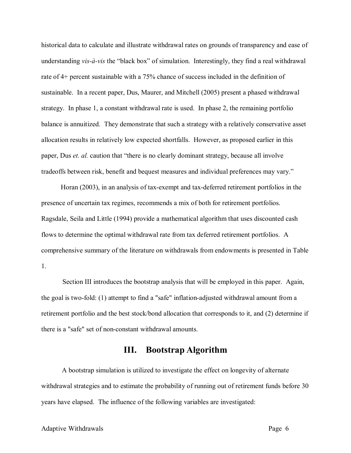historical data to calculate and illustrate withdrawal rates on grounds of transparency and ease of understanding *vis-à-vis* the "black box" of simulation. Interestingly, they find a real withdrawal rate of 4+ percent sustainable with a 75% chance of success included in the definition of sustainable. In a recent paper, Dus, Maurer, and Mitchell (2005) present a phased withdrawal strategy. In phase 1, a constant withdrawal rate is used. In phase 2, the remaining portfolio balance is annuitized. They demonstrate that such a strategy with a relatively conservative asset allocation results in relatively low expected shortfalls. However, as proposed earlier in this paper, Dus *et. al.* caution that "there is no clearly dominant strategy, because all involve tradeoffs between risk, benefit and bequest measures and individual preferences may vary."

Horan (2003), in an analysis of tax-exempt and tax-deferred retirement portfolios in the presence of uncertain tax regimes, recommends a mix of both for retirement portfolios. Ragsdale, Seila and Little (1994) provide a mathematical algorithm that uses discounted cash flows to determine the optimal withdrawal rate from tax deferred retirement portfolios. A comprehensive summary of the literature on withdrawals from endowments is presented in Table 1.

Section III introduces the bootstrap analysis that will be employed in this paper. Again, the goal is two-fold: (1) attempt to find a "safe" inflation-adjusted withdrawal amount from a retirement portfolio and the best stock/bond allocation that corresponds to it, and (2) determine if there is a "safe" set of non-constant withdrawal amounts.

## **III. Bootstrap Algorithm**

A bootstrap simulation is utilized to investigate the effect on longevity of alternate withdrawal strategies and to estimate the probability of running out of retirement funds before 30 years have elapsed. The influence of the following variables are investigated: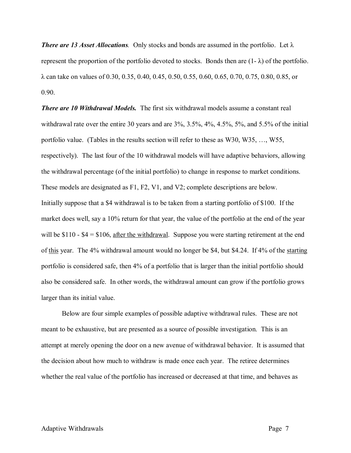*There are 13 Asset Allocations.* Only stocks and bonds are assumed in the portfolio. Let λ represent the proportion of the portfolio devoted to stocks. Bonds then are  $(1-\lambda)$  of the portfolio. λ can take on values of 0.30, 0.35, 0.40, 0.45, 0.50, 0.55, 0.60, 0.65, 0.70, 0.75, 0.80, 0.85, or 0.90.

*There are 10 Withdrawal Models.* The first six withdrawal models assume a constant real withdrawal rate over the entire 30 years and are 3%, 3.5%, 4%, 4.5%, 5%, and 5.5% of the initial portfolio value. (Tables in the results section will refer to these as W30, W35, …, W55, respectively). The last four of the 10 withdrawal models will have adaptive behaviors, allowing the withdrawal percentage (of the initial portfolio) to change in response to market conditions. These models are designated as F1, F2, V1, and V2; complete descriptions are below. Initially suppose that a \$4 withdrawal is to be taken from a starting portfolio of \$100. If the market does well, say a 10% return for that year, the value of the portfolio at the end of the year will be  $$110 - $4 = $106$ , after the withdrawal. Suppose you were starting retirement at the end of this year. The 4% withdrawal amount would no longer be \$4, but \$4.24. If 4% of the starting portfolio is considered safe, then 4% of a portfolio that is larger than the initial portfolio should also be considered safe. In other words, the withdrawal amount can grow if the portfolio grows larger than its initial value.

Below are four simple examples of possible adaptive withdrawal rules. These are not meant to be exhaustive, but are presented as a source of possible investigation. This is an attempt at merely opening the door on a new avenue of withdrawal behavior. It is assumed that the decision about how much to withdraw is made once each year. The retiree determines whether the real value of the portfolio has increased or decreased at that time, and behaves as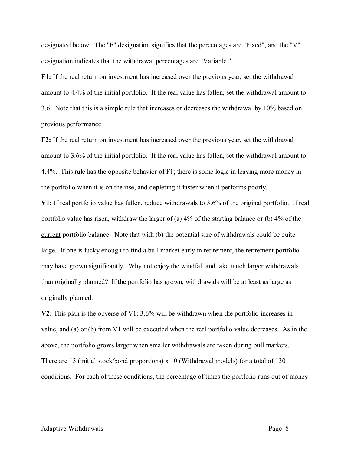designated below. The "F" designation signifies that the percentages are "Fixed", and the "V" designation indicates that the withdrawal percentages are "Variable."

**F1:** If the real return on investment has increased over the previous year, set the withdrawal amount to 4.4% of the initial portfolio. If the real value has fallen, set the withdrawal amount to 3.6. Note that this is a simple rule that increases or decreases the withdrawal by 10% based on previous performance.

**F2:** If the real return on investment has increased over the previous year, set the withdrawal amount to 3.6% of the initial portfolio. If the real value has fallen, set the withdrawal amount to 4.4%. This rule has the opposite behavior of F1; there is some logic in leaving more money in the portfolio when it is on the rise, and depleting it faster when it performs poorly.

**V1:** If real portfolio value has fallen, reduce withdrawals to 3.6% of the original portfolio. If real portfolio value has risen, withdraw the larger of (a) 4% of the starting balance or (b) 4% of the current portfolio balance. Note that with (b) the potential size of withdrawals could be quite large. If one is lucky enough to find a bull market early in retirement, the retirement portfolio may have grown significantly. Why not enjoy the windfall and take much larger withdrawals than originally planned? If the portfolio has grown, withdrawals will be at least as large as originally planned.

**V2:** This plan is the obverse of V1: 3.6% will be withdrawn when the portfolio increases in value, and (a) or (b) from V1 will be executed when the real portfolio value decreases. As in the above, the portfolio grows larger when smaller withdrawals are taken during bull markets. There are 13 (initial stock/bond proportions) x 10 (Withdrawal models) for a total of 130 conditions. For each of these conditions, the percentage of times the portfolio runs out of money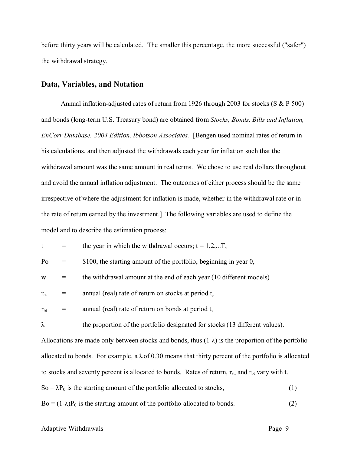before thirty years will be calculated. The smaller this percentage, the more successful ("safer") the withdrawal strategy.

#### **Data, Variables, and Notation**

Annual inflation-adjusted rates of return from 1926 through 2003 for stocks (S & P 500) and bonds (long-term U.S. Treasury bond) are obtained from *Stocks, Bonds, Bills and Inflation, EnCorr Database, 2004 Edition, Ibbotson Associates.* [Bengen used nominal rates of return in his calculations, and then adjusted the withdrawals each year for inflation such that the withdrawal amount was the same amount in real terms. We chose to use real dollars throughout and avoid the annual inflation adjustment. The outcomes of either process should be the same irrespective of where the adjustment for inflation is made, whether in the withdrawal rate or in the rate of return earned by the investment.] The following variables are used to define the model and to describe the estimation process:

|  | the year in which the withdrawal occurs; $t = 1, 2, \dots T$ , |  |  |
|--|----------------------------------------------------------------|--|--|
|--|----------------------------------------------------------------|--|--|

| Po |  | \$100, the starting amount of the portfolio, beginning in year 0, |  |  |  |  |  |  |  |
|----|--|-------------------------------------------------------------------|--|--|--|--|--|--|--|
|----|--|-------------------------------------------------------------------|--|--|--|--|--|--|--|

 $w =$  the withdrawal amount at the end of each year (10 different models)

 $r_{\rm st}$  = annual (real) rate of return on stocks at period t,

 $r<sub>bt</sub>$  = annual (real) rate of return on bonds at period t,

 $\lambda$  = the proportion of the portfolio designated for stocks (13 different values).

Allocations are made only between stocks and bonds, thus  $(1-\lambda)$  is the proportion of the portfolio allocated to bonds. For example, a  $\lambda$  of 0.30 means that thirty percent of the portfolio is allocated to stocks and seventy percent is allocated to bonds. Rates of return,  $r_{st}$ , and  $r_{bt}$  vary with t.

 $So = \lambda P_0$  is the starting amount of the portfolio allocated to stocks, (1)

 $Bo = (1-\lambda)P_0$  is the starting amount of the portfolio allocated to bonds. (2)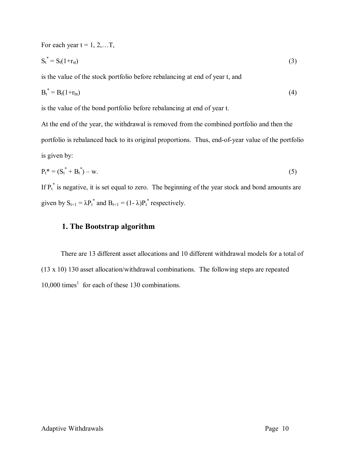For each year 
$$
t = 1, 2, ...T
$$
,  
\n $S_t^* = S_t(1+r_{st})$  (3)  
\nis the value of the stock portfolio before rebalancing at end of year t, and

 $B_t^* = B_t(1+r_{bt})$  (4)

is the value of the bond portfolio before rebalancing at end of year t.

At the end of the year, the withdrawal is removed from the combined portfolio and then the portfolio is rebalanced back to its original proportions. Thus, end-of-year value of the portfolio is given by:

$$
P_t^* = (S_t^* + B_t^*) - w.
$$
 (5)

If  $P_t^*$  is negative, it is set equal to zero. The beginning of the year stock and bond amounts are given by  $S_{t+1} = \lambda P_t^*$  and  $B_{t+1} = (1 - \lambda) P_t^*$  respectively.

### **1. The Bootstrap algorithm**

There are 13 different asset allocations and 10 different withdrawal models for a total of (13 x 10) 130 asset allocation/withdrawal combinations. The following steps are repeated  $10,000$  times<sup>1</sup> for each of these 130 combinations.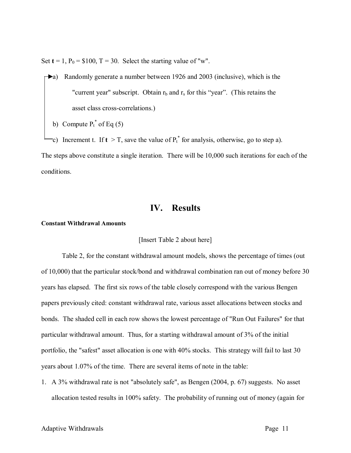Set  $t = 1$ ,  $P_0 = $100$ ,  $T = 30$ . Select the starting value of "w".

- a) Randomly generate a number between 1926 and 2003 (inclusive), which is the "current year" subscript. Obtain  $r_b$  and  $r_s$  for this "year". (This retains the asset class cross-correlations.)
	- b) Compute  $P_t^*$  of Eq (5)
- c) Increment t. If  $t > T$ , save the value of  $P_t^*$  for analysis, otherwise, go to step a).

The steps above constitute a single iteration. There will be 10,000 such iterations for each of the conditions.

## **IV. Results**

#### **Constant Withdrawal Amounts**

#### [Insert Table 2 about here]

Table 2, for the constant withdrawal amount models, shows the percentage of times (out of 10,000) that the particular stock/bond and withdrawal combination ran out of money before 30 years has elapsed. The first six rows of the table closely correspond with the various Bengen papers previously cited: constant withdrawal rate, various asset allocations between stocks and bonds. The shaded cell in each row shows the lowest percentage of "Run Out Failures" for that particular withdrawal amount. Thus, for a starting withdrawal amount of 3% of the initial portfolio, the "safest" asset allocation is one with 40% stocks. This strategy will fail to last 30 years about 1.07% of the time. There are several items of note in the table:

1. A 3% withdrawal rate is not "absolutely safe", as Bengen (2004, p. 67) suggests. No asset allocation tested results in 100% safety. The probability of running out of money (again for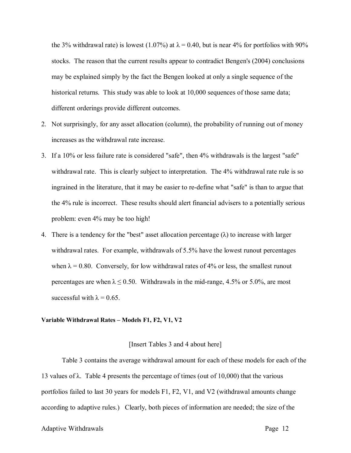the 3% withdrawal rate) is lowest (1.07%) at  $\lambda$  = 0.40, but is near 4% for portfolios with 90% stocks. The reason that the current results appear to contradict Bengen's (2004) conclusions may be explained simply by the fact the Bengen looked at only a single sequence of the historical returns. This study was able to look at 10,000 sequences of those same data; different orderings provide different outcomes.

- 2. Not surprisingly, for any asset allocation (column), the probability of running out of money increases as the withdrawal rate increase.
- 3. If a 10% or less failure rate is considered "safe", then 4% withdrawals is the largest "safe" withdrawal rate. This is clearly subject to interpretation. The 4% withdrawal rate rule is so ingrained in the literature, that it may be easier to re-define what "safe" is than to argue that the 4% rule is incorrect. These results should alert financial advisers to a potentially serious problem: even 4% may be too high!
- 4. There is a tendency for the "best" asset allocation percentage  $(\lambda)$  to increase with larger withdrawal rates. For example, withdrawals of 5.5% have the lowest runout percentages when  $\lambda = 0.80$ . Conversely, for low withdrawal rates of 4% or less, the smallest runout percentages are when  $\lambda \le 0.50$ . Withdrawals in the mid-range, 4.5% or 5.0%, are most successful with  $\lambda = 0.65$ .

#### **Variable Withdrawal Rates – Models F1, F2, V1, V2**

#### [Insert Tables 3 and 4 about here]

Table 3 contains the average withdrawal amount for each of these models for each of the 13 values of  $\lambda$ . Table 4 presents the percentage of times (out of 10,000) that the various portfolios failed to last 30 years for models F1, F2, V1, and V2 (withdrawal amounts change according to adaptive rules.) Clearly, both pieces of information are needed; the size of the

#### Adaptive Withdrawals **Page 12** and the Page 12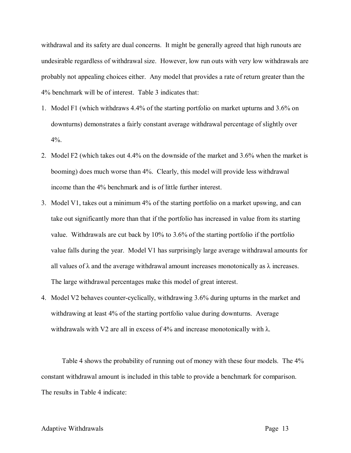withdrawal and its safety are dual concerns. It might be generally agreed that high runouts are undesirable regardless of withdrawal size. However, low run outs with very low withdrawals are probably not appealing choices either. Any model that provides a rate of return greater than the 4% benchmark will be of interest. Table 3 indicates that:

- 1. Model F1 (which withdraws 4.4% of the starting portfolio on market upturns and 3.6% on downturns) demonstrates a fairly constant average withdrawal percentage of slightly over  $4\%$
- 2. Model F2 (which takes out 4.4% on the downside of the market and 3.6% when the market is booming) does much worse than 4%. Clearly, this model will provide less withdrawal income than the 4% benchmark and is of little further interest.
- 3. Model V1, takes out a minimum 4% of the starting portfolio on a market upswing, and can take out significantly more than that if the portfolio has increased in value from its starting value. Withdrawals are cut back by 10% to 3.6% of the starting portfolio if the portfolio value falls during the year. Model V1 has surprisingly large average withdrawal amounts for all values of  $\lambda$  and the average withdrawal amount increases monotonically as  $\lambda$  increases. The large withdrawal percentages make this model of great interest.
- 4. Model V2 behaves counter-cyclically, withdrawing 3.6% during upturns in the market and withdrawing at least 4% of the starting portfolio value during downturns. Average withdrawals with V2 are all in excess of 4% and increase monotonically with  $\lambda$ .

Table 4 shows the probability of running out of money with these four models. The 4% constant withdrawal amount is included in this table to provide a benchmark for comparison. The results in Table 4 indicate: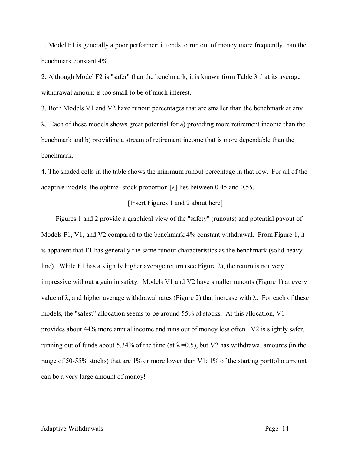1. Model F1 is generally a poor performer; it tends to run out of money more frequently than the benchmark constant 4%.

2. Although Model F2 is "safer" than the benchmark, it is known from Table 3 that its average withdrawal amount is too small to be of much interest.

3. Both Models V1 and V2 have runout percentages that are smaller than the benchmark at any λ. Each of these models shows great potential for a) providing more retirement income than the benchmark and b) providing a stream of retirement income that is more dependable than the benchmark.

4. The shaded cells in the table shows the minimum runout percentage in that row. For all of the adaptive models, the optimal stock proportion  $[\lambda]$  lies between 0.45 and 0.55.

#### [Insert Figures 1 and 2 about here]

Figures 1 and 2 provide a graphical view of the "safety" (runouts) and potential payout of Models F1, V1, and V2 compared to the benchmark 4% constant withdrawal. From Figure 1, it is apparent that F1 has generally the same runout characteristics as the benchmark (solid heavy line). While F1 has a slightly higher average return (see Figure 2), the return is not very impressive without a gain in safety. Models V1 and V2 have smaller runouts (Figure 1) at every value of λ, and higher average withdrawal rates (Figure 2) that increase with λ. For each of these models, the "safest" allocation seems to be around 55% of stocks. At this allocation, V1 provides about 44% more annual income and runs out of money less often. V2 is slightly safer, running out of funds about 5.34% of the time (at  $\lambda$  =0.5), but V2 has withdrawal amounts (in the range of 50-55% stocks) that are 1% or more lower than V1; 1% of the starting portfolio amount can be a very large amount of money!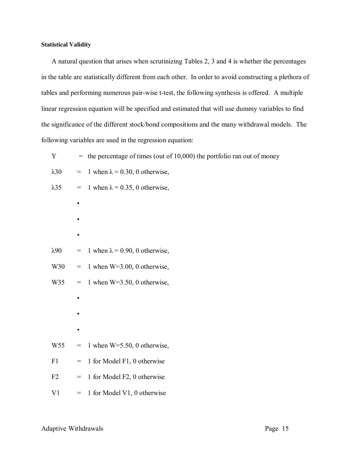#### **Statistical Validity**

A natural question that arises when scrutinizing Tables 2, 3 and 4 is whether the percentages in the table are statistically different from each other. In order to avoid constructing a plethora of tables and performing numerous pair-wise t-test, the following synthesis is offered. A multiple linear regression equation will be specified and estimated that will use dummy variables to find the significance of the different stock/bond compositions and the many withdrawal models. The following variables are used in the regression equation:

| Y               |                                   | $=$ the percentage of times (out of 10,000) the portfolio ran out of money |
|-----------------|-----------------------------------|----------------------------------------------------------------------------|
| $\lambda$ 30    | $=$                               | 1 when $\lambda$ = 0.30, 0 otherwise,                                      |
| $\lambda$ 35    | $=$                               | 1 when $\lambda$ = 0.35, 0 otherwise,                                      |
|                 | $\bullet$                         |                                                                            |
|                 |                                   |                                                                            |
|                 | ٠                                 |                                                                            |
| $\lambda$ 90    | $\hspace{1.6cm} = \hspace{1.6cm}$ | 1 when $\lambda$ = 0.90, 0 otherwise,                                      |
| W30             | $=$                               | 1 when $W=3.00$ , 0 otherwise,                                             |
| W35             | $\!\!\!=\!\!\!\!$                 | 1 when $W=3.50$ , 0 otherwise,                                             |
|                 | $\bullet$                         |                                                                            |
|                 |                                   |                                                                            |
|                 | $\bullet$                         |                                                                            |
| W <sub>55</sub> | $=$                               | 1 when $W=5.50$ , 0 otherwise,                                             |
| F1              | $=$                               | 1 for Model F1, 0 otherwise                                                |
| F2              | $=$                               | 1 for Model F2, 0 otherwise                                                |
| V <sub>1</sub>  | $=$                               | 1 for Model V1, 0 otherwise                                                |
|                 |                                   |                                                                            |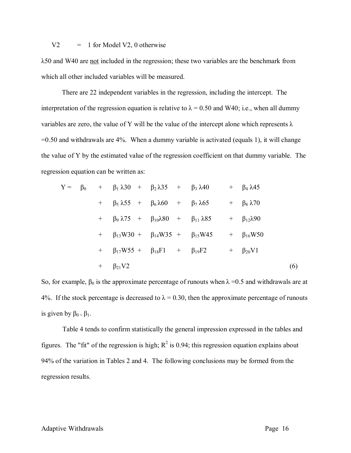$V2 = 1$  for Model V2, 0 otherwise

λ50 and W40 are not included in the regression; these two variables are the benchmark from which all other included variables will be measured.

There are 22 independent variables in the regression, including the intercept. The interpretation of the regression equation is relative to  $\lambda = 0.50$  and W40; i.e., when all dummy variables are zero, the value of Y will be the value of the intercept alone which represents  $\lambda$  $=0.50$  and withdrawals are 4%. When a dummy variable is activated (equals 1), it will change the value of Y by the estimated value of the regression coefficient on that dummy variable. The regression equation can be written as:

$$
Y = \beta_0 + \beta_1 \lambda 30 + \beta_2 \lambda 35 + \beta_3 \lambda 40 + \beta_4 \lambda 45
$$
  
+  $\beta_5 \lambda 55 + \beta_6 \lambda 60 + \beta_7 \lambda 65 + \beta_8 \lambda 70$   
+  $\beta_9 \lambda 75 + \beta_{10} \lambda 80 + \beta_{11} \lambda 85 + \beta_{12} \lambda 90$   
+  $\beta_{13} W 30 + \beta_{14} W 35 + \beta_{15} W 45 + \beta_{16} W 50$   
+  $\beta_{17} W 55 + \beta_{18} F1 + \beta_{19} F2 + \beta_{20} V1$   
+  $\beta_{21} V2$  (6)

So, for example,  $\beta_0$  is the approximate percentage of runouts when  $\lambda = 0.5$  and withdrawals are at 4%. If the stock percentage is decreased to  $\lambda = 0.30$ , then the approximate percentage of runouts is given by  $\beta_0 + \beta_1$ .

Table 4 tends to confirm statistically the general impression expressed in the tables and figures. The "fit" of the regression is high;  $R^2$  is 0.94; this regression equation explains about 94% of the variation in Tables 2 and 4. The following conclusions may be formed from the regression results.

#### Adaptive Withdrawals **Page 16** and the Page 16 and the Page 16 and the Page 16 and the Page 16 and the Page 16 and the Page 16 and the Page 16 and the Page 16 and the Page 16 and the Page 16 and the Page 16 and the Page 16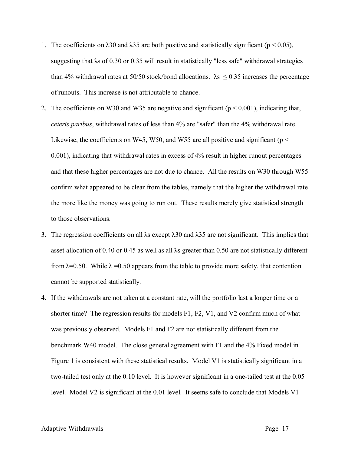- 1. The coefficients on  $\lambda$ 30 and  $\lambda$ 35 are both positive and statistically significant (p < 0.05), suggesting that λs of 0.30 or 0.35 will result in statistically "less safe" withdrawal strategies than 4% withdrawal rates at 50/50 stock/bond allocations.  $\lambda$ s  $\leq$  0.35 increases the percentage of runouts. This increase is not attributable to chance.
- 2. The coefficients on W30 and W35 are negative and significant ( $p < 0.001$ ), indicating that, *ceteris paribus*, withdrawal rates of less than 4% are "safer" than the 4% withdrawal rate. Likewise, the coefficients on W45, W50, and W55 are all positive and significant ( $p <$ 0.001), indicating that withdrawal rates in excess of 4% result in higher runout percentages and that these higher percentages are not due to chance. All the results on W30 through W55 confirm what appeared to be clear from the tables, namely that the higher the withdrawal rate the more like the money was going to run out. These results merely give statistical strength to those observations.
- 3. The regression coefficients on all λs except λ30 and λ35 are not significant. This implies that asset allocation of 0.40 or 0.45 as well as all  $\lambda$ s greater than 0.50 are not statistically different from  $\lambda$ =0.50. While  $\lambda$  =0.50 appears from the table to provide more safety, that contention cannot be supported statistically.
- 4. If the withdrawals are not taken at a constant rate, will the portfolio last a longer time or a shorter time? The regression results for models F1, F2, V1, and V2 confirm much of what was previously observed. Models F1 and F2 are not statistically different from the benchmark W40 model. The close general agreement with F1 and the 4% Fixed model in Figure 1 is consistent with these statistical results. Model V1 is statistically significant in a two-tailed test only at the 0.10 level. It is however significant in a one-tailed test at the 0.05 level. Model V2 is significant at the 0.01 level. It seems safe to conclude that Models V1

#### Adaptive Withdrawals **Page 17** and the extent of the extent of the extent of the extent of the extent of the extent of the extent of the extent of the extent of the extent of the extent of the extent of the extent of the e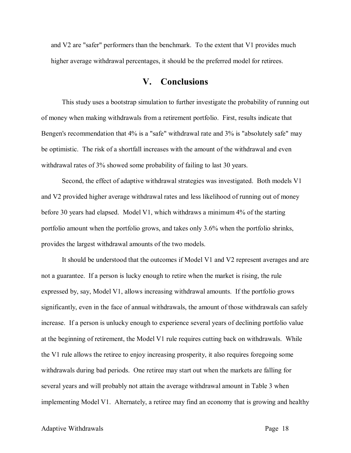and V2 are "safer" performers than the benchmark. To the extent that V1 provides much higher average withdrawal percentages, it should be the preferred model for retirees.

## **V. Conclusions**

This study uses a bootstrap simulation to further investigate the probability of running out of money when making withdrawals from a retirement portfolio. First, results indicate that Bengen's recommendation that 4% is a "safe" withdrawal rate and 3% is "absolutely safe" may be optimistic. The risk of a shortfall increases with the amount of the withdrawal and even withdrawal rates of 3% showed some probability of failing to last 30 years.

Second, the effect of adaptive withdrawal strategies was investigated. Both models V1 and V2 provided higher average withdrawal rates and less likelihood of running out of money before 30 years had elapsed. Model V1, which withdraws a minimum 4% of the starting portfolio amount when the portfolio grows, and takes only 3.6% when the portfolio shrinks, provides the largest withdrawal amounts of the two models.

It should be understood that the outcomes if Model V1 and V2 represent averages and are not a guarantee. If a person is lucky enough to retire when the market is rising, the rule expressed by, say, Model V1, allows increasing withdrawal amounts. If the portfolio grows significantly, even in the face of annual withdrawals, the amount of those withdrawals can safely increase. If a person is unlucky enough to experience several years of declining portfolio value at the beginning of retirement, the Model V1 rule requires cutting back on withdrawals. While the V1 rule allows the retiree to enjoy increasing prosperity, it also requires foregoing some withdrawals during bad periods. One retiree may start out when the markets are falling for several years and will probably not attain the average withdrawal amount in Table 3 when implementing Model V1. Alternately, a retiree may find an economy that is growing and healthy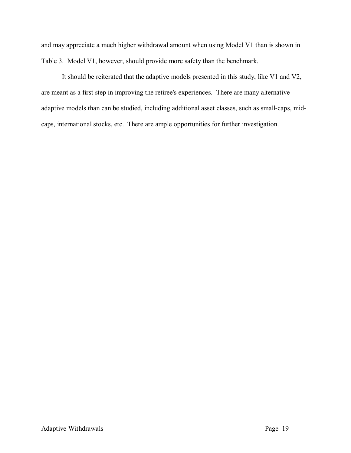and may appreciate a much higher withdrawal amount when using Model V1 than is shown in Table 3. Model V1, however, should provide more safety than the benchmark.

It should be reiterated that the adaptive models presented in this study, like V1 and V2, are meant as a first step in improving the retiree's experiences. There are many alternative adaptive models than can be studied, including additional asset classes, such as small-caps, midcaps, international stocks, etc. There are ample opportunities for further investigation.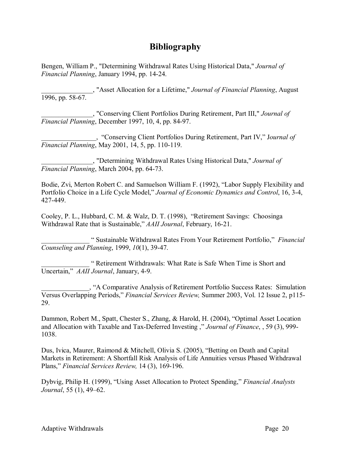## **Bibliography**

Bengen, William P., "Determining Withdrawal Rates Using Historical Data," *Journal of Financial Planning*, January 1994, pp. 14-24.

\_\_\_\_\_\_\_\_\_\_\_\_\_\_\_, "Asset Allocation for a Lifetime," *Journal of Financial Planning*, August 1996, pp. 58-67.

\_\_\_\_\_\_\_\_\_\_\_\_\_\_\_, "Conserving Client Portfolios During Retirement, Part III," *Journal of Financial Planning*, December 1997, 10, 4, pp. 84-97.

\_\_\_\_\_\_\_\_\_\_\_\_\_\_\_\_, "Conserving Client Portfolios During Retirement, Part IV," J*ournal of Financial Planning*, May 2001, 14, 5, pp. 110-119.

\_\_\_\_\_\_\_\_\_\_\_\_\_\_\_, "Determining Withdrawal Rates Using Historical Data," *Journal of Financial Planning*, March 2004, pp. 64-73.

Bodie, Zvi, Merton Robert C. and Samuelson William F. (1992), "Labor Supply Flexibility and Portfolio Choice in a Life Cycle Model," *Journal of Economic Dynamics and Control*, 16, 3-4, 427-449.

Cooley, P. L., Hubbard, C. M. & Walz, D. T. (1998), "Retirement Savings: Choosinga Withdrawal Rate that is Sustainable," *AAII Journal*, February, 16-21.

\_\_\_\_\_\_\_\_\_\_\_\_\_\_ " Sustainable Withdrawal Rates From Your Retirement Portfolio," *Financial Counseling and Planning*, 1999, *10*(1), 39-47.

\_\_\_\_\_\_\_\_\_\_\_\_\_\_ " Retirement Withdrawals: What Rate is Safe When Time is Short and Uncertain," *AAII Journal*, January, 4-9.

\_\_\_\_\_\_\_\_\_\_\_\_\_\_, "A Comparative Analysis of Retirement Portfolio Success Rates: Simulation Versus Overlapping Periods," *Financial Services Review,* Summer 2003, Vol. 12 Issue 2, p115- 29.

Dammon, Robert M., Spatt, Chester S., Zhang, & Harold, H. (2004), "Optimal Asset Location and Allocation with Taxable and Tax-Deferred Investing ," *Journal of Finance*, , 59 (3), 999- 1038.

Dus, Ivica, Maurer, Raimond & Mitchell, Olivia S. (2005), "Betting on Death and Capital Markets in Retirement: A Shortfall Risk Analysis of Life Annuities versus Phased Withdrawal Plans," *Financial Services Review,* 14 (3), 169-196.

Dybvig, Philip H. (1999), "Using Asset Allocation to Protect Spending," *Financial Analysts Journal*, 55 (1), 49–62.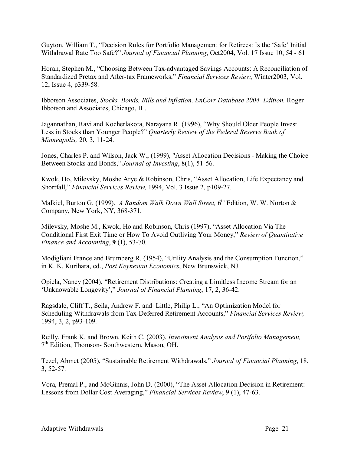Guyton, William T., "Decision Rules for Portfolio Management for Retirees: Is the 'Safe' Initial Withdrawal Rate Too Safe?" *Journal of Financial Planning*, Oct2004, Vol. 17 Issue 10, 54 - 61

Horan, Stephen M., "Choosing Between Tax-advantaged Savings Accounts: A Reconciliation of Standardized Pretax and After-tax Frameworks," *Financial Services Review*, Winter2003, Vol. 12, Issue 4, p339-58.

Ibbotson Associates, *Stocks, Bonds, Bills and Inflation, EnCorr Database 2004 Edition,* Roger Ibbotson and Associates, Chicago, IL.

Jagannathan, Ravi and Kocherlakota, Narayana R. (1996), "Why Should Older People Invest Less in Stocks than Younger People?" *Quarterly Review of the Federal Reserve Bank of Minneapolis,* 20, 3, 11-24.

Jones, Charles P. and Wilson, Jack W., (1999), "Asset Allocation Decisions - Making the Choice Between Stocks and Bonds," *Journal of Investing*, 8(1), 51-56.

Kwok, Ho, Milevsky, Moshe Arye & Robinson, Chris, "Asset Allocation, Life Expectancy and Shortfall," *Financial Services Review*, 1994, Vol. 3 Issue 2, p109-27.

Malkiel, Burton G. (1999). *A Random Walk Down Wall Street,* 6 th Edition, W. W. Norton & Company, New York, NY, 368-371.

Milevsky, Moshe M., Kwok, Ho and Robinson, Chris (1997), "Asset Allocation Via The Conditional First Exit Time or How To Avoid Outliving Your Money," *Review of Quantitative Finance and Accounting*, **9** (1), 53-70.

Modigliani France and Brumberg R. (1954), "Utility Analysis and the Consumption Function," in K. K. Kurihara, ed., *Post Keynesian Economics*, New Brunswick, NJ.

Opiela, Nancy (2004), "Retirement Distributions: Creating a Limitless Income Stream for an 'Unknowable Longevity'," *Journal of Financial Planning*, 17, 2, 36-42.

Ragsdale, Cliff T., Seila, Andrew F. and Little, Philip L., "An Optimization Model for Scheduling Withdrawals from Tax-Deferred Retirement Accounts," *Financial Services Review,* 1994, 3, 2, p93-109.

Reilly, Frank K. and Brown, Keith C. (2003), *Investment Analysis and Portfolio Management,*  7 th Edition, Thomson- Southwestern, Mason, OH.

Tezel, Ahmet (2005), "Sustainable Retirement Withdrawals," *Journal of Financial Planning*, 18, 3, 52-57.

Vora, Premal P., and McGinnis, John D. (2000), "The Asset Allocation Decision in Retirement: Lessons from Dollar Cost Averaging," *Financial Services Review*, 9 (1), 47-63.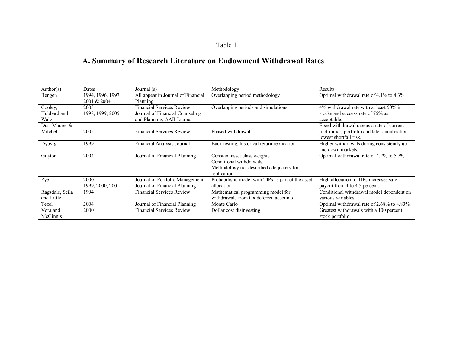## Table 1

# **A. Summary of Research Literature on Endowment Withdrawal Rates**

| Author(s)       | Dates             | Journal (s)                        | Methodology                                        | Results                                        |
|-----------------|-------------------|------------------------------------|----------------------------------------------------|------------------------------------------------|
| Bengen          | 1994, 1996, 1997, | All appear in Journal of Financial | Overlapping period methodology                     | Optimal withdrawal rate of 4.1% to 4.3%.       |
|                 | 2001 & 2004       | Planning                           |                                                    |                                                |
| Cooley,         | 2003              | <b>Financial Services Review</b>   | Overlapping periods and simulations                | $4\%$ withdrawal rate with at least 50% in     |
| Hubbard and     | 1998, 1999, 2005  | Journal of Financial Counseling    |                                                    | stocks and success rate of 75% as              |
| Walz            |                   | and Planning, AAII Journal         |                                                    | acceptable.                                    |
| Dus, Maurer &   |                   |                                    |                                                    | Fixed withdrawal rate as a rate of current     |
| Mitchell        | 2005              | <b>Financial Services Review</b>   | Phased withdrawal                                  | (not initial) portfolio and later annutization |
|                 |                   |                                    |                                                    | lowest shortfall risk.                         |
| Dybvig          | 1999              | Financial Analysts Journal         | Back testing, historical return replication        | Higher withdrawals during consistently up      |
|                 |                   |                                    |                                                    | and down markets.                              |
| Guyton          | 2004              | Journal of Financial Planning      | Constant asset class weights.                      | Optimal withdrawal rate of 4.2% to 5.7%.       |
|                 |                   |                                    | Conditional withdrawals.                           |                                                |
|                 |                   |                                    | Methodology not described adequately for           |                                                |
|                 |                   |                                    | replication.                                       |                                                |
| Pye             | 2000              | Journal of Portfolio Management    | Probabilistic model with TIPs as part of the asset | High allocation to TIPs increases safe         |
|                 | 1999, 2000, 2001  | Journal of Financial Planning      | allocation                                         | payout from 4 to 4.5 percent.                  |
| Ragsdale, Seila | 1994              | <b>Financial Services Review</b>   | Mathematical programming model for                 | Conditional withdrawal model dependent on      |
| and Little      |                   |                                    | withdrawals from tax deferred accounts             | various variables.                             |
| Tezel           | 2004              | Journal of Financial Planning      | Monte Carlo                                        | Optimal withdrawal rate of 2.68% to 4.83%.     |
| Vora and        | 2000              | <b>Financial Services Review</b>   | Dollar cost disinvesting                           | Greatest withdrawals with a 100 percent        |
| McGinnis        |                   |                                    |                                                    | stock portfolio.                               |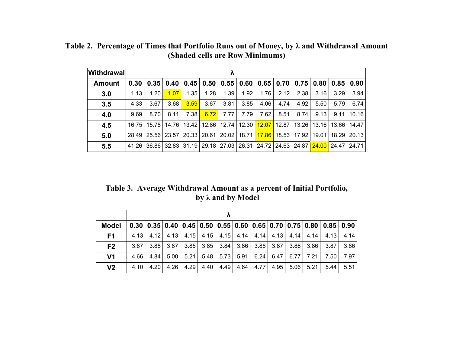| <b>Withdrawal</b> | Λ     |       |                       |                   |      |                                            |                                                 |       |       |                                            |       |       |             |
|-------------------|-------|-------|-----------------------|-------------------|------|--------------------------------------------|-------------------------------------------------|-------|-------|--------------------------------------------|-------|-------|-------------|
| Amount            | 0.30  |       | $0.35 \mid 0.40 \mid$ |                   |      | $0.45$   $0.50$   $0.55$   $0.60$   $0.65$ |                                                 |       |       | $0.70$   $0.75$   $0.80$   $0.85$   $0.90$ |       |       |             |
| 3.0               | 1.13  | 1.20  | 1.07                  | 1.35              | 1.28 | 1.39                                       | 1.92                                            | 1.76  | 2.12  | 2.38                                       | 3.16  | 3.29  | 3.94        |
| 3.5               | 4.33  | 3.67  | 3.68                  | 3.59              | 3.67 | 3.81                                       | 3.85                                            | 4.06  | 4.74  | 4.92                                       | 5.50  | 5.79  | 6.74        |
| 4.0               | 9.69  | 8.70  | 8.11                  | 7.38 <sup>1</sup> | 6.72 | 7.77                                       | 7.79                                            | 7.62  | 8.51  | 8.74                                       | 9.13  | 9.11  | 10.16       |
| 4.5               | 16.75 | 15.78 | 14.76                 |                   |      | 13.42   12.86   12.74   12.30              |                                                 | 12.07 | 12.87 | 13.26                                      | 13.16 | 13.66 | 14.47       |
| 5.0               | 28.49 |       | 25.56 23.57           | 20.33   20.61     |      |                                            | $20.02$   18.71                                 |       |       | <mark>17.86</mark> 18.53 17.92             | 19.01 |       | 18.29 20.13 |
| 5.5               | 41.26 |       | 36.86 32.83           | $31.19$   29.18   |      |                                            | 27.03 26.31 24.72 24.63 24.87 24.00 24.47 24.71 |       |       |                                            |       |       |             |

**Table 2. Percentage of Times that Portfolio Runs out of Money, by λ and Withdrawal Amount (Shaded cells are Row Minimums)**

**Table 3. Average Withdrawal Amount as a percent of Initial Portfolio, by λ and by Model**

| <b>Model</b>   |      |      |      |      |             |             |      |                       |      |      |             | $0.30$ $0.35$ $0.40$ $0.45$ $0.50$ $0.55$ $0.60$ $0.65$ $0.70$ $0.75$ $0.80$ $0.85$ $0.90$                |      |
|----------------|------|------|------|------|-------------|-------------|------|-----------------------|------|------|-------------|-----------------------------------------------------------------------------------------------------------|------|
| F <sub>1</sub> | 4.13 |      |      |      |             |             |      |                       |      |      |             | $4.12$   $4.13$   $4.15$   $4.15$   $4.16$   $4.14$   $4.14$   $4.13$   $4.14$   $4.14$   $4.13$   $4.14$ |      |
| F <sub>2</sub> | 3.87 | 3.88 | 3.87 | 3.85 | $3.85$ 3.84 |             |      | $3.86$ 3.86           | 3.87 | 3.86 |             | $3.86$ 3.87                                                                                               | 3.86 |
| V1             | 4.66 | 4.84 | 5.00 | 5.21 |             | $5.48$ 5.73 |      | $5.91 \mid 6.24 \mid$ | 6.47 |      | $6.77$ 7.21 | 7.50                                                                                                      | 7.97 |
| V <sub>2</sub> | 4.10 | 4.20 | 4.26 | 4.29 | 4.40        | 4.49        | 4.64 | 4.77                  | 4.95 | 5.06 | 5.21        | 5.44                                                                                                      | 5.51 |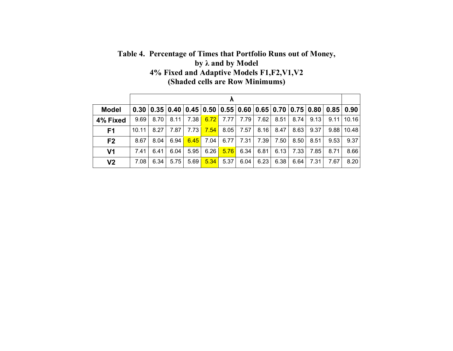## **Table 4. Percentage of Times that Portfolio Runs out of Money, by λ and by Model 4% Fixed and Adaptive Models F1,F2,V1,V2 (Shaded cells are Row Minimums)**

|                | Λ     |      |      |        |      |      |      |      |      |      |                                                                                                                    |      |                  |
|----------------|-------|------|------|--------|------|------|------|------|------|------|--------------------------------------------------------------------------------------------------------------------|------|------------------|
| <b>Model</b>   | 0.30  | 0.35 |      |        |      |      |      |      |      |      | $\mid$ 0.40 $\mid$ 0.45 $\mid$ 0.50 $\mid$ 0.55 $\mid$ 0.60 $\mid$ 0.65 $\mid$ 0.70 $\mid$ 0.75 $\mid$ 0.80 $\mid$ |      | $0.85 \mid 0.90$ |
| 4% Fixed       | 9.69  | 8.70 | 8.11 | 7.38 l | 6.72 | 7.77 | 7.79 | 7.62 | 8.51 | 8.74 | 9.13                                                                                                               | 9.11 | 10.16            |
| F <sub>1</sub> | 10.11 | 8.27 | 7.87 | 7.73   | 7.54 | 8.05 | 7.57 | 8.16 | 8.47 | 8.63 | 9.37                                                                                                               | 9.88 | 10.48            |
| F <sub>2</sub> | 8.67  | 8.04 | 6.94 | 6.45   | 7.04 | 6.77 | 7.31 | 7.39 | 7.50 | 8.50 | 8.51                                                                                                               | 9.53 | 9.37             |
| V <sub>1</sub> | 7.41  | 6.41 | 6.04 | 5.95   | 6.26 | 5.76 | 6.34 | 6.81 | 6.13 | 7.33 | 7.85                                                                                                               | 8.71 | 8.66             |
| V <sub>2</sub> | 7.08  | 6.34 | 5.75 | 5.69   | 5.34 | 5.37 | 6.04 | 6.23 | 6.38 | 6.64 | 7.31                                                                                                               | 7.67 | 8.20             |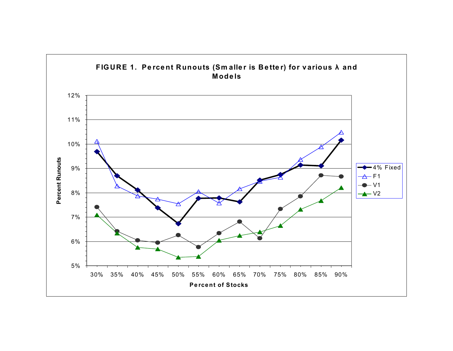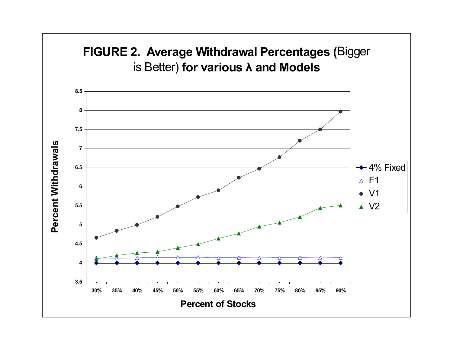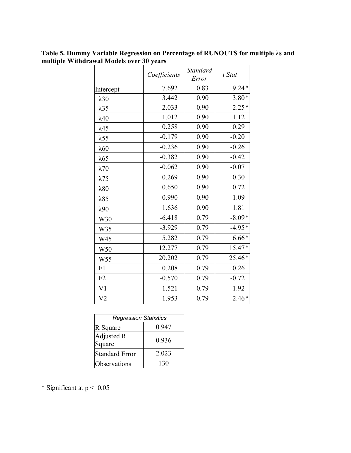**Table 5. Dummy Variable Regression on Percentage of RUNOUTS for multiple λs and multiple Withdrawal Models over 30 years**

|                 | Coefficients | <b>Standard</b><br>Error | t Stat   |
|-----------------|--------------|--------------------------|----------|
| Intercept       | 7.692        | 0.83                     | $9.24*$  |
| $\lambda$ 30    | 3.442        | 0.90                     | $3.80*$  |
| $\lambda$ 35    | 2.033        | 0.90                     | $2.25*$  |
| $\lambda$ 40    | 1.012        | 0.90                     | 1.12     |
| $\lambda$ 45    | 0.258        | 0.90                     | 0.29     |
| $\lambda$ 55    | $-0.179$     | 0.90                     | $-0.20$  |
| $\lambda$ 60    | $-0.236$     | 0.90                     | $-0.26$  |
| $\lambda$ 65    | $-0.382$     | 0.90                     | $-0.42$  |
| $\lambda$ 70    | $-0.062$     | 0.90                     | $-0.07$  |
| $\lambda$ 75    | 0.269        | 0.90                     | 0.30     |
| $\lambda$ 80    | 0.650        | 0.90                     | 0.72     |
| $\lambda$ 85    | 0.990        | 0.90                     | 1.09     |
| $\lambda$ 90    | 1.636        | 0.90                     | 1.81     |
| W30             | $-6.418$     | 0.79                     | $-8.09*$ |
| W35             | $-3.929$     | 0.79                     | $-4.95*$ |
| W45             | 5.282        | 0.79                     | $6.66*$  |
| W50             | 12.277       | 0.79                     | 15.47*   |
| W <sub>55</sub> | 20.202       | 0.79                     | 25.46*   |
| F1              | 0.208        | 0.79                     | 0.26     |
| F2              | $-0.570$     | 0.79                     | $-0.72$  |
| V <sub>1</sub>  | $-1.521$     | 0.79                     | $-1.92$  |
| V <sub>2</sub>  | $-1.953$     | 0.79                     | $-2.46*$ |

| <b>Regression Statistics</b> |       |  |  |  |  |  |
|------------------------------|-------|--|--|--|--|--|
| R Square                     | 0.947 |  |  |  |  |  |
| Adjusted R<br>Square         | 0.936 |  |  |  |  |  |
| <b>Standard Error</b>        | 2.023 |  |  |  |  |  |
| Observations                 | 130   |  |  |  |  |  |

\* Significant at p < 0.05